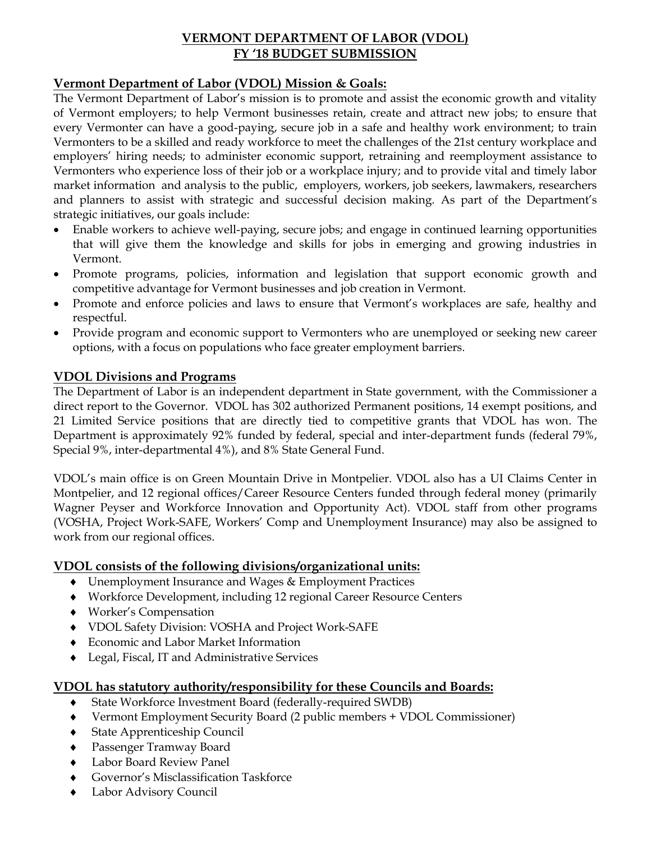# **VERMONT DEPARTMENT OF LABOR (VDOL) FY '18 BUDGET SUBMISSION**

### **Vermont Department of Labor (VDOL) Mission & Goals:**

The Vermont Department of Labor's mission is to promote and assist the economic growth and vitality of Vermont employers; to help Vermont businesses retain, create and attract new jobs; to ensure that every Vermonter can have a good-paying, secure job in a safe and healthy work environment; to train Vermonters to be a skilled and ready workforce to meet the challenges of the 21st century workplace and employers' hiring needs; to administer economic support, retraining and reemployment assistance to Vermonters who experience loss of their job or a workplace injury; and to provide vital and timely labor market information and analysis to the public, employers, workers, job seekers, lawmakers, researchers and planners to assist with strategic and successful decision making. As part of the Department's strategic initiatives, our goals include:

- Enable workers to achieve well-paying, secure jobs; and engage in continued learning opportunities that will give them the knowledge and skills for jobs in emerging and growing industries in Vermont.
- Promote programs, policies, information and legislation that support economic growth and competitive advantage for Vermont businesses and job creation in Vermont.
- Promote and enforce policies and laws to ensure that Vermont's workplaces are safe, healthy and respectful.
- Provide program and economic support to Vermonters who are unemployed or seeking new career options, with a focus on populations who face greater employment barriers.

# **VDOL Divisions and Programs**

The Department of Labor is an independent department in State government, with the Commissioner a direct report to the Governor. VDOL has 302 authorized Permanent positions, 14 exempt positions, and 21 Limited Service positions that are directly tied to competitive grants that VDOL has won. The Department is approximately 92% funded by federal, special and inter-department funds (federal 79%, Special 9%, inter-departmental 4%), and 8% State General Fund.

VDOL's main office is on Green Mountain Drive in Montpelier. VDOL also has a UI Claims Center in Montpelier, and 12 regional offices/Career Resource Centers funded through federal money (primarily Wagner Peyser and Workforce Innovation and Opportunity Act). VDOL staff from other programs (VOSHA, Project Work-SAFE, Workers' Comp and Unemployment Insurance) may also be assigned to work from our regional offices.

### **VDOL consists of the following divisions/organizational units:**

- Unemployment Insurance and Wages & Employment Practices
- Workforce Development, including 12 regional Career Resource Centers
- Worker's Compensation
- VDOL Safety Division: VOSHA and Project Work-SAFE
- Economic and Labor Market Information
- Legal, Fiscal, IT and Administrative Services

# **VDOL has statutory authority/responsibility for these Councils and Boards:**

- State Workforce Investment Board (federally-required SWDB)
- Vermont Employment Security Board (2 public members + VDOL Commissioner)
- State Apprenticeship Council
- Passenger Tramway Board
- Labor Board Review Panel
- Governor's Misclassification Taskforce
- Labor Advisory Council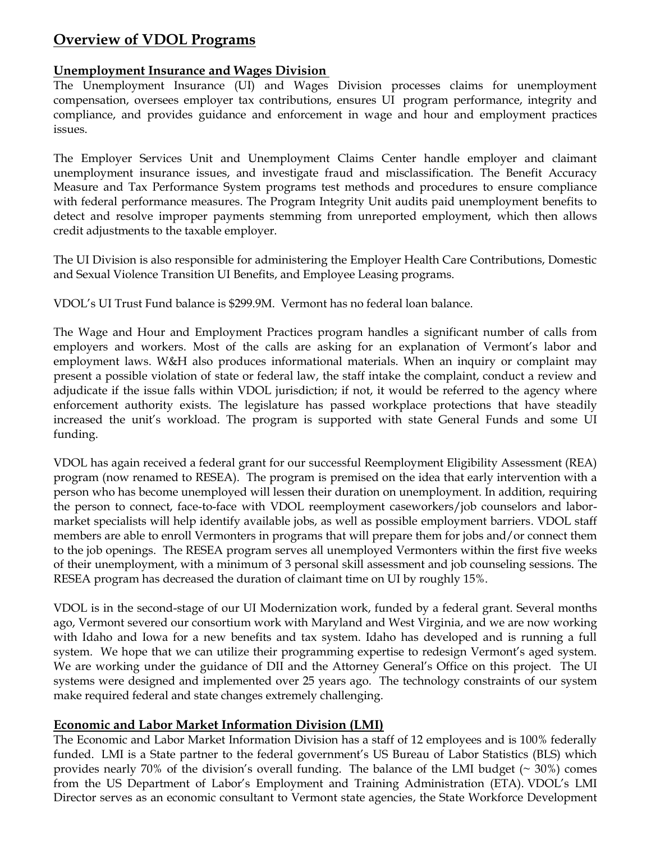# **Overview of VDOL Programs**

# **Unemployment Insurance and Wages Division**

The Unemployment Insurance (UI) and Wages Division processes claims for unemployment compensation, oversees employer tax contributions, ensures UI program performance, integrity and compliance, and provides guidance and enforcement in wage and hour and employment practices issues.

The Employer Services Unit and Unemployment Claims Center handle employer and claimant unemployment insurance issues, and investigate fraud and misclassification. The Benefit Accuracy Measure and Tax Performance System programs test methods and procedures to ensure compliance with federal performance measures. The Program Integrity Unit audits paid unemployment benefits to detect and resolve improper payments stemming from unreported employment, which then allows credit adjustments to the taxable employer.

The UI Division is also responsible for administering the Employer Health Care Contributions, Domestic and Sexual Violence Transition UI Benefits, and Employee Leasing programs.

VDOL's UI Trust Fund balance is \$299.9M. Vermont has no federal loan balance.

The Wage and Hour and Employment Practices program handles a significant number of calls from employers and workers. Most of the calls are asking for an explanation of Vermont's labor and employment laws. W&H also produces informational materials. When an inquiry or complaint may present a possible violation of state or federal law, the staff intake the complaint, conduct a review and adjudicate if the issue falls within VDOL jurisdiction; if not, it would be referred to the agency where enforcement authority exists. The legislature has passed workplace protections that have steadily increased the unit's workload. The program is supported with state General Funds and some UI funding.

VDOL has again received a federal grant for our successful Reemployment Eligibility Assessment (REA) program (now renamed to RESEA). The program is premised on the idea that early intervention with a person who has become unemployed will lessen their duration on unemployment. In addition, requiring the person to connect, face-to-face with VDOL reemployment caseworkers/job counselors and labormarket specialists will help identify available jobs, as well as possible employment barriers. VDOL staff members are able to enroll Vermonters in programs that will prepare them for jobs and/or connect them to the job openings. The RESEA program serves all unemployed Vermonters within the first five weeks of their unemployment, with a minimum of 3 personal skill assessment and job counseling sessions. The RESEA program has decreased the duration of claimant time on UI by roughly 15%.

VDOL is in the second-stage of our UI Modernization work, funded by a federal grant. Several months ago, Vermont severed our consortium work with Maryland and West Virginia, and we are now working with Idaho and Iowa for a new benefits and tax system. Idaho has developed and is running a full system. We hope that we can utilize their programming expertise to redesign Vermont's aged system. We are working under the guidance of DII and the Attorney General's Office on this project. The UI systems were designed and implemented over 25 years ago. The technology constraints of our system make required federal and state changes extremely challenging.

# **Economic and Labor Market Information Division (LMI)**

The Economic and Labor Market Information Division has a staff of 12 employees and is 100% federally funded. LMI is a State partner to the federal government's US Bureau of Labor Statistics (BLS) which provides nearly 70% of the division's overall funding. The balance of the LMI budget  $(\sim 30\%)$  comes from the US Department of Labor's Employment and Training Administration (ETA). VDOL's LMI Director serves as an economic consultant to Vermont state agencies, the State Workforce Development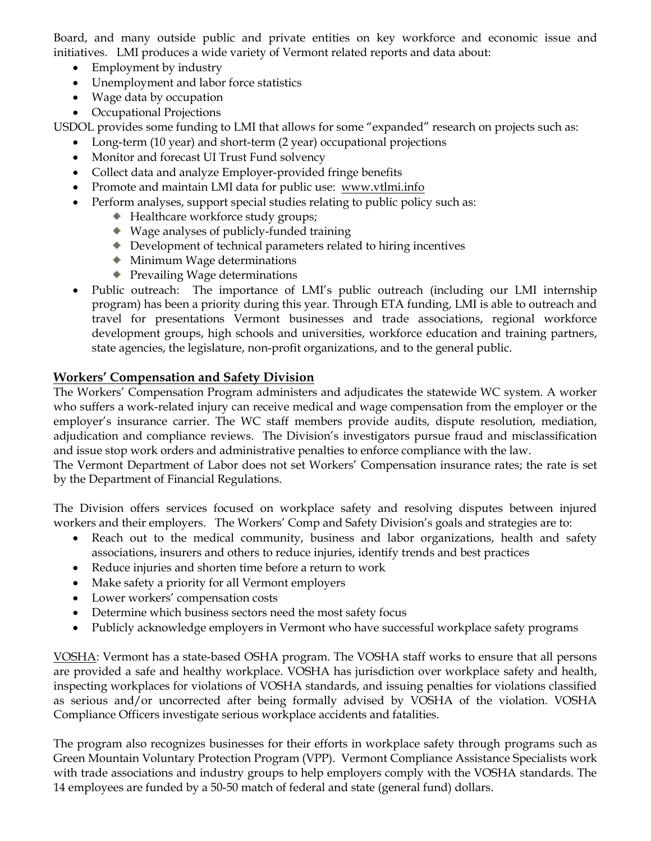Board, and many outside public and private entities on key workforce and economic issue and initiatives. LMI produces a wide variety of Vermont related reports and data about:

- Employment by industry
- Unemployment and labor force statistics
- Wage data by occupation
- Occupational Projections

USDOL provides some funding to LMI that allows for some "expanded" research on projects such as:

- Long-term (10 year) and short-term (2 year) occupational projections
- Monitor and forecast UI Trust Fund solvency
- Collect data and analyze Employer-provided fringe benefits
- Promote and maintain LMI data for public use: [www.vtlmi.info](http://www.vtlmi.info/)
- Perform analyses, support special studies relating to public policy such as:
	- ◆ Healthcare workforce study groups;
	- Wage analyses of publicly-funded training
	- Development of technical parameters related to hiring incentives
	- Minimum Wage determinations
	- ◆ Prevailing Wage determinations
- Public outreach: The importance of LMI's public outreach (including our LMI internship program) has been a priority during this year. Through ETA funding, LMI is able to outreach and travel for presentations Vermont businesses and trade associations, regional workforce development groups, high schools and universities, workforce education and training partners, state agencies, the legislature, non-profit organizations, and to the general public.

# **Workers' Compensation and Safety Division**

The Workers' Compensation Program administers and adjudicates the statewide WC system. A worker who suffers a work-related injury can receive medical and wage compensation from the employer or the employer's insurance carrier. The WC staff members provide audits, dispute resolution, mediation, adjudication and compliance reviews. The Division's investigators pursue fraud and misclassification and issue stop work orders and administrative penalties to enforce compliance with the law.

The Vermont Department of Labor does not set Workers' Compensation insurance rates; the rate is set by the Department of Financial Regulations.

The Division offers services focused on workplace safety and resolving disputes between injured workers and their employers. The Workers' Comp and Safety Division's goals and strategies are to:

- Reach out to the medical community, business and labor organizations, health and safety associations, insurers and others to reduce injuries, identify trends and best practices
- Reduce injuries and shorten time before a return to work
- Make safety a priority for all Vermont employers
- Lower workers' compensation costs
- Determine which business sectors need the most safety focus
- Publicly acknowledge employers in Vermont who have successful workplace safety programs

VOSHA: Vermont has a state-based OSHA program. The VOSHA staff works to ensure that all persons are provided a safe and healthy workplace. VOSHA has jurisdiction over workplace safety and health, inspecting workplaces for violations of VOSHA standards, and issuing penalties for violations classified as serious and/or uncorrected after being formally advised by VOSHA of the violation. VOSHA Compliance Officers investigate serious workplace accidents and fatalities.

The program also recognizes businesses for their efforts in workplace safety through programs such as Green Mountain Voluntary Protection Program (VPP). Vermont Compliance Assistance Specialists work with trade associations and industry groups to help employers comply with the VOSHA standards. The 14 employees are funded by a 50-50 match of federal and state (general fund) dollars.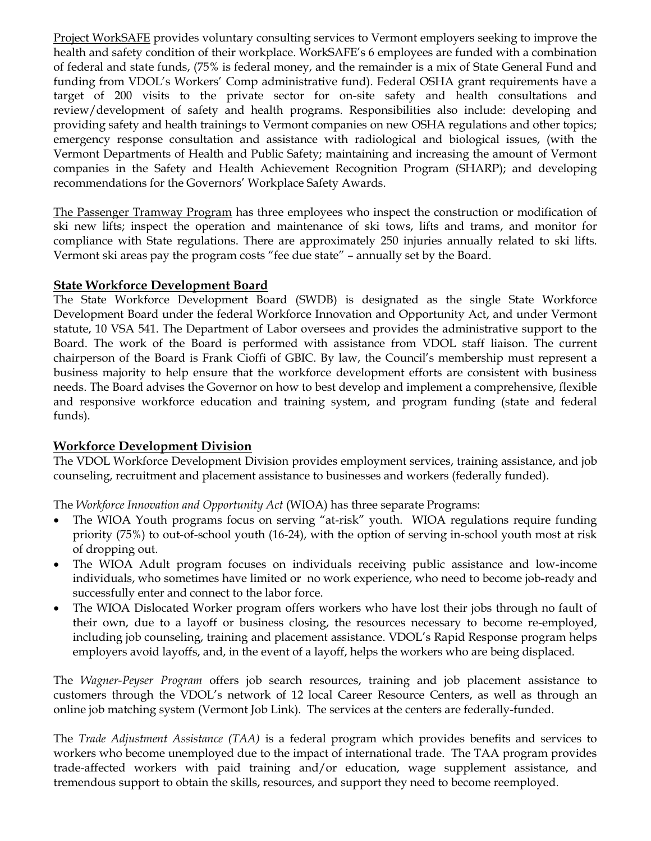Project WorkSAFE provides voluntary consulting services to Vermont employers seeking to improve the health and safety condition of their workplace. WorkSAFE's 6 employees are funded with a combination of federal and state funds, (75% is federal money, and the remainder is a mix of State General Fund and funding from VDOL's Workers' Comp administrative fund). Federal OSHA grant requirements have a target of 200 visits to the private sector for on-site safety and health consultations and review/development of safety and health programs. Responsibilities also include: developing and providing safety and health trainings to Vermont companies on new OSHA regulations and other topics; emergency response consultation and assistance with radiological and biological issues, (with the Vermont Departments of Health and Public Safety; maintaining and increasing the amount of Vermont companies in the Safety and Health Achievement Recognition Program (SHARP); and developing recommendations for the Governors' Workplace Safety Awards.

The Passenger Tramway Program has three employees who inspect the construction or modification of ski new lifts; inspect the operation and maintenance of ski tows, lifts and trams, and monitor for compliance with State regulations. There are approximately 250 injuries annually related to ski lifts. Vermont ski areas pay the program costs "fee due state" – annually set by the Board.

#### **State Workforce Development Board**

The State Workforce Development Board (SWDB) is designated as the single State Workforce Development Board under the federal Workforce Innovation and Opportunity Act, and under Vermont statute, 10 VSA 541. The Department of Labor oversees and provides the administrative support to the Board. The work of the Board is performed with assistance from VDOL staff liaison. The current chairperson of the Board is Frank Cioffi of GBIC. By law, the Council's membership must represent a business majority to help ensure that the workforce development efforts are consistent with business needs. The Board advises the Governor on how to best develop and implement a comprehensive, flexible and responsive workforce education and training system, and program funding (state and federal funds).

### **Workforce Development Division**

The VDOL Workforce Development Division provides employment services, training assistance, and job counseling, recruitment and placement assistance to businesses and workers (federally funded).

The *Workforce Innovation and Opportunity Act* (WIOA) has three separate Programs:

- The WIOA Youth programs focus on serving "at-risk" youth. WIOA regulations require funding priority (75%) to out-of-school youth (16-24), with the option of serving in-school youth most at risk of dropping out.
- The WIOA Adult program focuses on individuals receiving public assistance and low-income individuals, who sometimes have limited or no work experience, who need to become job-ready and successfully enter and connect to the labor force.
- The WIOA Dislocated Worker program offers workers who have lost their jobs through no fault of their own, due to a layoff or business closing, the resources necessary to become re-employed, including job counseling, training and placement assistance. VDOL's Rapid Response program helps employers avoid layoffs, and, in the event of a layoff, helps the workers who are being displaced.

The *Wagner-Peyser Program* offers job search resources, training and job placement assistance to customers through the VDOL's network of 12 local Career Resource Centers, as well as through an online job matching system (Vermont Job Link). The services at the centers are federally-funded.

The *Trade Adjustment Assistance (TAA)* is a federal program which provides benefits and services to workers who become unemployed due to the impact of international trade. The TAA program provides trade-affected workers with paid training and/or education, wage supplement assistance, and tremendous support to obtain the skills, resources, and support they need to become reemployed.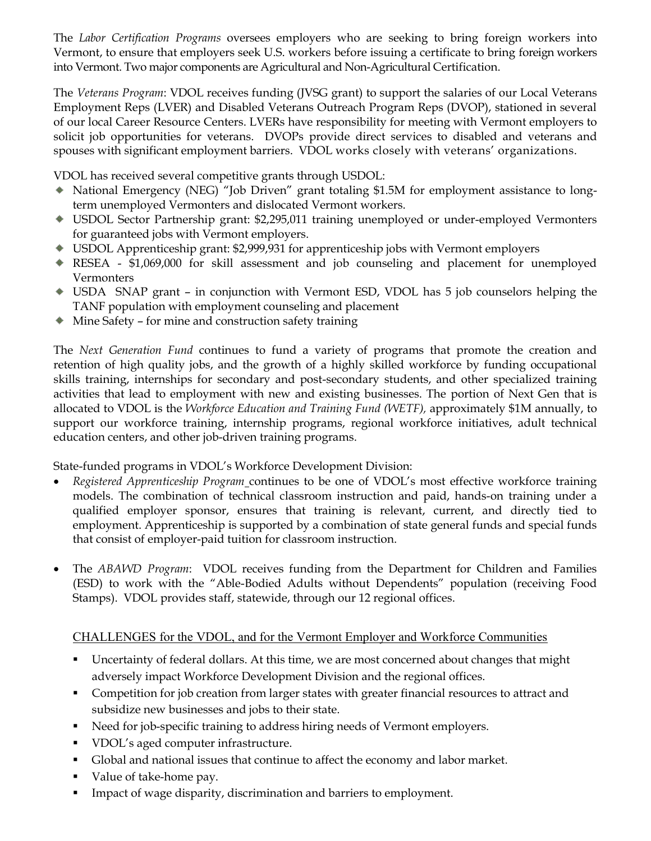The *Labor Certification Programs* oversees employers who are seeking to bring foreign workers into Vermont, to ensure that employers seek U.S. workers before issuing a certificate to bring foreign workers into Vermont. Two major components are Agricultural and Non-Agricultural Certification.

The *Veterans Program*: VDOL receives funding (JVSG grant) to support the salaries of our Local Veterans Employment Reps (LVER) and Disabled Veterans Outreach Program Reps (DVOP), stationed in several of our local Career Resource Centers. LVERs have responsibility for meeting with Vermont employers to solicit job opportunities for veterans. DVOPs provide direct services to disabled and veterans and spouses with significant employment barriers. VDOL works closely with veterans' organizations.

VDOL has received several competitive grants through USDOL:

- National Emergency (NEG) "Job Driven" grant totaling \$1.5M for employment assistance to longterm unemployed Vermonters and dislocated Vermont workers.
- USDOL Sector Partnership grant: \$2,295,011 training unemployed or under-employed Vermonters for guaranteed jobs with Vermont employers.
- USDOL Apprenticeship grant: \$2,999,931 for apprenticeship jobs with Vermont employers
- RESEA \$1,069,000 for skill assessment and job counseling and placement for unemployed Vermonters
- USDA SNAP grant in conjunction with Vermont ESD, VDOL has 5 job counselors helping the TANF population with employment counseling and placement
- Mine Safety for mine and construction safety training

The *Next Generation Fund* continues to fund a variety of programs that promote the creation and retention of high quality jobs, and the growth of a highly skilled workforce by funding occupational skills training, internships for secondary and post-secondary students, and other specialized training activities that lead to employment with new and existing businesses. The portion of Next Gen that is allocated to VDOL is the *Workforce Education and Training Fund (WETF),* approximately \$1M annually, to support our workforce training, internship programs, regional workforce initiatives, adult technical education centers, and other job-driven training programs.

State-funded programs in VDOL's Workforce Development Division:

- *Registered Apprenticeship Program* continues to be one of VDOL's most effective workforce training models. The combination of technical classroom instruction and paid, hands-on training under a qualified employer sponsor, ensures that training is relevant, current, and directly tied to employment. Apprenticeship is supported by a combination of state general funds and special funds that consist of employer-paid tuition for classroom instruction.
- The *ABAWD Program*: VDOL receives funding from the Department for Children and Families (ESD) to work with the "Able-Bodied Adults without Dependents" population (receiving Food Stamps). VDOL provides staff, statewide, through our 12 regional offices.

### CHALLENGES for the VDOL, and for the Vermont Employer and Workforce Communities

- Uncertainty of federal dollars. At this time, we are most concerned about changes that might adversely impact Workforce Development Division and the regional offices.
- **Competition for job creation from larger states with greater financial resources to attract and** subsidize new businesses and jobs to their state.
- Need for job-specific training to address hiring needs of Vermont employers.
- VDOL's aged computer infrastructure.
- Global and national issues that continue to affect the economy and labor market.
- Value of take-home pay.
- **IMPACT OF WAGE DISPARITY, discrimination and barriers to employment.**